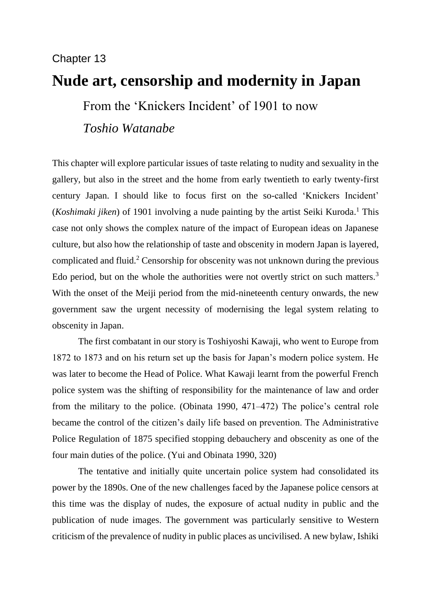# Chapter 13

# **Nude art, censorship and modernity in Japan**

From the 'Knickers Incident' of 1901 to now

*Toshio Watanabe*

This chapter will explore particular issues of taste relating to nudity and sexuality in the gallery, but also in the street and the home from early twentieth to early twenty-first century Japan. I should like to focus first on the so-called 'Knickers Incident' (*Koshimaki jiken*) of 1901 involving a nude painting by the artist Seiki Kuroda. <sup>1</sup> This case not only shows the complex nature of the impact of European ideas on Japanese culture, but also how the relationship of taste and obscenity in modern Japan is layered, complicated and fluid.<sup>2</sup> Censorship for obscenity was not unknown during the previous Edo period, but on the whole the authorities were not overtly strict on such matters.<sup>3</sup> With the onset of the Meiji period from the mid-nineteenth century onwards, the new government saw the urgent necessity of modernising the legal system relating to obscenity in Japan.

The first combatant in our story is Toshiyoshi Kawaji, who went to Europe from 1872 to 1873 and on his return set up the basis for Japan's modern police system. He was later to become the Head of Police. What Kawaji learnt from the powerful French police system was the shifting of responsibility for the maintenance of law and order from the military to the police. (Obinata 1990, 471–472) The police's central role became the control of the citizen's daily life based on prevention. The Administrative Police Regulation of 1875 specified stopping debauchery and obscenity as one of the four main duties of the police. (Yui and Obinata 1990, 320)

The tentative and initially quite uncertain police system had consolidated its power by the 1890s. One of the new challenges faced by the Japanese police censors at this time was the display of nudes, the exposure of actual nudity in public and the publication of nude images. The government was particularly sensitive to Western criticism of the prevalence of nudity in public places as uncivilised. A new bylaw, Ishiki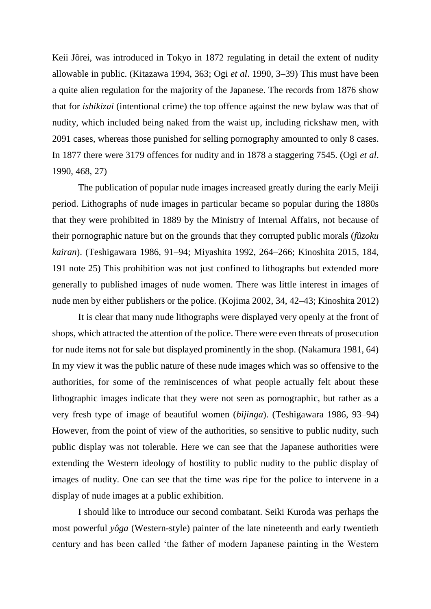Keii Jôrei, was introduced in Tokyo in 1872 regulating in detail the extent of nudity allowable in public. (Kitazawa 1994, 363; Ogi *et al*. 1990, 3–39) This must have been a quite alien regulation for the majority of the Japanese. The records from 1876 show that for *ishikizai* (intentional crime) the top offence against the new bylaw was that of nudity, which included being naked from the waist up, including rickshaw men, with 2091 cases, whereas those punished for selling pornography amounted to only 8 cases. In 1877 there were 3179 offences for nudity and in 1878 a staggering 7545. (Ogi *et al*. 1990, 468, 27)

The publication of popular nude images increased greatly during the early Meiji period. Lithographs of nude images in particular became so popular during the 1880s that they were prohibited in 1889 by the Ministry of Internal Affairs, not because of their pornographic nature but on the grounds that they corrupted public morals (*fûzoku kairan*). (Teshigawara 1986, 91–94; Miyashita 1992, 264–266; Kinoshita 2015, 184, 191 note 25) This prohibition was not just confined to lithographs but extended more generally to published images of nude women. There was little interest in images of nude men by either publishers or the police. (Kojima 2002, 34, 42–43; Kinoshita 2012)

It is clear that many nude lithographs were displayed very openly at the front of shops, which attracted the attention of the police. There were even threats of prosecution for nude items not for sale but displayed prominently in the shop. (Nakamura 1981, 64) In my view it was the public nature of these nude images which was so offensive to the authorities, for some of the reminiscences of what people actually felt about these lithographic images indicate that they were not seen as pornographic, but rather as a very fresh type of image of beautiful women (*bijinga*). (Teshigawara 1986, 93–94) However, from the point of view of the authorities, so sensitive to public nudity, such public display was not tolerable. Here we can see that the Japanese authorities were extending the Western ideology of hostility to public nudity to the public display of images of nudity. One can see that the time was ripe for the police to intervene in a display of nude images at a public exhibition.

I should like to introduce our second combatant. Seiki Kuroda was perhaps the most powerful *yôga* (Western-style) painter of the late nineteenth and early twentieth century and has been called 'the father of modern Japanese painting in the Western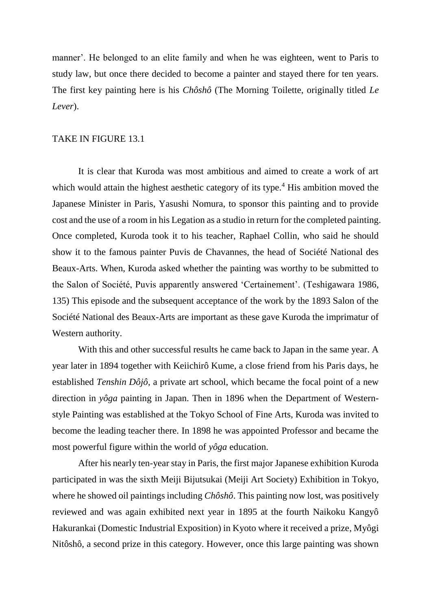manner'. He belonged to an elite family and when he was eighteen, went to Paris to study law, but once there decided to become a painter and stayed there for ten years. The first key painting here is his *Chôshô* (The Morning Toilette, originally titled *Le Lever*).

#### TAKE IN FIGURE 13.1

It is clear that Kuroda was most ambitious and aimed to create a work of art which would attain the highest aesthetic category of its type.<sup>4</sup> His ambition moved the Japanese Minister in Paris, Yasushi Nomura, to sponsor this painting and to provide cost and the use of a room in his Legation as a studio in return for the completed painting. Once completed, Kuroda took it to his teacher, Raphael Collin, who said he should show it to the famous painter Puvis de Chavannes, the head of Société National des Beaux-Arts. When, Kuroda asked whether the painting was worthy to be submitted to the Salon of Société, Puvis apparently answered 'Certainement'. (Teshigawara 1986, 135) This episode and the subsequent acceptance of the work by the 1893 Salon of the Société National des Beaux-Arts are important as these gave Kuroda the imprimatur of Western authority.

With this and other successful results he came back to Japan in the same year. A year later in 1894 together with Keiichirô Kume, a close friend from his Paris days, he established *Tenshin Dôjô*, a private art school, which became the focal point of a new direction in *yôga* painting in Japan. Then in 1896 when the Department of Westernstyle Painting was established at the Tokyo School of Fine Arts, Kuroda was invited to become the leading teacher there. In 1898 he was appointed Professor and became the most powerful figure within the world of *yôga* education.

After his nearly ten-year stay in Paris, the first major Japanese exhibition Kuroda participated in was the sixth Meiji Bijutsukai (Meiji Art Society) Exhibition in Tokyo, where he showed oil paintings including *Chôshô*. This painting now lost, was positively reviewed and was again exhibited next year in 1895 at the fourth Naikoku Kangyô Hakurankai (Domestic Industrial Exposition) in Kyoto where it received a prize, Myôgi Nitôshô, a second prize in this category. However, once this large painting was shown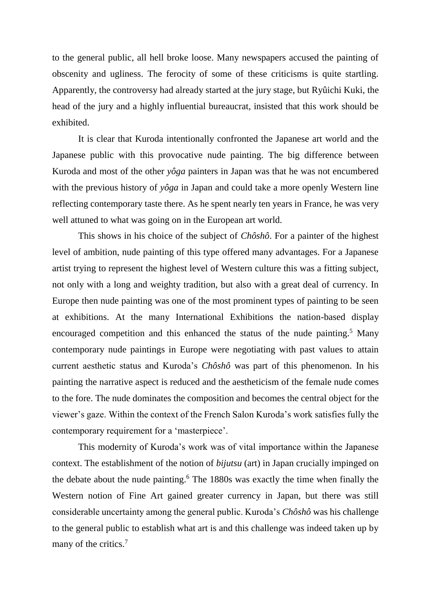to the general public, all hell broke loose. Many newspapers accused the painting of obscenity and ugliness. The ferocity of some of these criticisms is quite startling. Apparently, the controversy had already started at the jury stage, but Ryûichi Kuki, the head of the jury and a highly influential bureaucrat, insisted that this work should be exhibited.

It is clear that Kuroda intentionally confronted the Japanese art world and the Japanese public with this provocative nude painting. The big difference between Kuroda and most of the other *yôga* painters in Japan was that he was not encumbered with the previous history of *yôga* in Japan and could take a more openly Western line reflecting contemporary taste there. As he spent nearly ten years in France, he was very well attuned to what was going on in the European art world.

This shows in his choice of the subject of *Chôshô*. For a painter of the highest level of ambition, nude painting of this type offered many advantages. For a Japanese artist trying to represent the highest level of Western culture this was a fitting subject, not only with a long and weighty tradition, but also with a great deal of currency. In Europe then nude painting was one of the most prominent types of painting to be seen at exhibitions. At the many International Exhibitions the nation-based display encouraged competition and this enhanced the status of the nude painting.<sup>5</sup> Many contemporary nude paintings in Europe were negotiating with past values to attain current aesthetic status and Kuroda's *Chôshô* was part of this phenomenon. In his painting the narrative aspect is reduced and the aestheticism of the female nude comes to the fore. The nude dominates the composition and becomes the central object for the viewer's gaze. Within the context of the French Salon Kuroda's work satisfies fully the contemporary requirement for a 'masterpiece'.

This modernity of Kuroda's work was of vital importance within the Japanese context. The establishment of the notion of *bijutsu* (art) in Japan crucially impinged on the debate about the nude painting.<sup>6</sup> The 1880s was exactly the time when finally the Western notion of Fine Art gained greater currency in Japan, but there was still considerable uncertainty among the general public. Kuroda's *Chôshô* was his challenge to the general public to establish what art is and this challenge was indeed taken up by many of the critics.<sup>7</sup>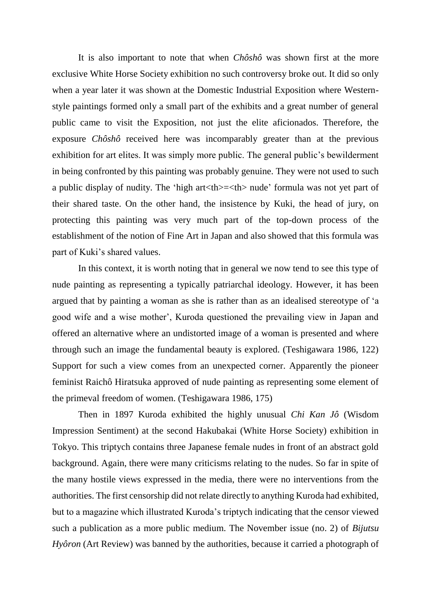It is also important to note that when *Chôshô* was shown first at the more exclusive White Horse Society exhibition no such controversy broke out. It did so only when a year later it was shown at the Domestic Industrial Exposition where Westernstyle paintings formed only a small part of the exhibits and a great number of general public came to visit the Exposition, not just the elite aficionados. Therefore, the exposure *Chôshô* received here was incomparably greater than at the previous exhibition for art elites. It was simply more public. The general public's bewilderment in being confronted by this painting was probably genuine. They were not used to such a public display of nudity. The 'high art<th>=<th> nude' formula was not yet part of their shared taste. On the other hand, the insistence by Kuki, the head of jury, on protecting this painting was very much part of the top-down process of the establishment of the notion of Fine Art in Japan and also showed that this formula was part of Kuki's shared values.

In this context, it is worth noting that in general we now tend to see this type of nude painting as representing a typically patriarchal ideology. However, it has been argued that by painting a woman as she is rather than as an idealised stereotype of 'a good wife and a wise mother', Kuroda questioned the prevailing view in Japan and offered an alternative where an undistorted image of a woman is presented and where through such an image the fundamental beauty is explored. (Teshigawara 1986, 122) Support for such a view comes from an unexpected corner. Apparently the pioneer feminist Raichô Hiratsuka approved of nude painting as representing some element of the primeval freedom of women. (Teshigawara 1986, 175)

Then in 1897 Kuroda exhibited the highly unusual *Chi Kan Jô* (Wisdom Impression Sentiment) at the second Hakubakai (White Horse Society) exhibition in Tokyo. This triptych contains three Japanese female nudes in front of an abstract gold background. Again, there were many criticisms relating to the nudes. So far in spite of the many hostile views expressed in the media, there were no interventions from the authorities. The first censorship did not relate directly to anything Kuroda had exhibited, but to a magazine which illustrated Kuroda's triptych indicating that the censor viewed such a publication as a more public medium. The November issue (no. 2) of *Bijutsu Hyôron* (Art Review) was banned by the authorities, because it carried a photograph of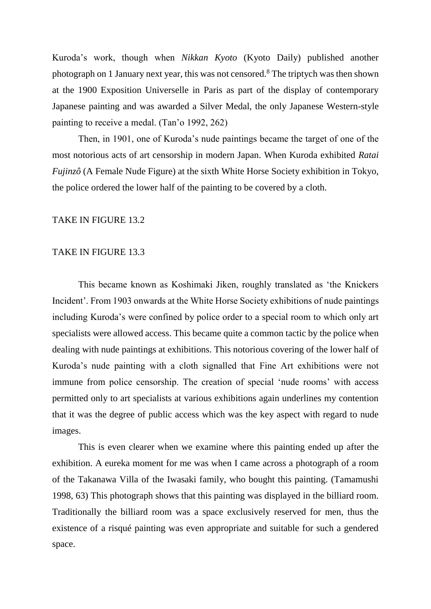Kuroda's work, though when *Nikkan Kyoto* (Kyoto Daily) published another photograph on 1 January next year, this was not censored.<sup>8</sup> The triptych was then shown at the 1900 Exposition Universelle in Paris as part of the display of contemporary Japanese painting and was awarded a Silver Medal, the only Japanese Western-style painting to receive a medal. (Tan'o 1992, 262)

Then, in 1901, one of Kuroda's nude paintings became the target of one of the most notorious acts of art censorship in modern Japan. When Kuroda exhibited *Ratai Fujinzô* (A Female Nude Figure) at the sixth White Horse Society exhibition in Tokyo, the police ordered the lower half of the painting to be covered by a cloth.

#### TAKE IN FIGURE 13.2

#### TAKE IN FIGURE 13.3

This became known as Koshimaki Jiken, roughly translated as 'the Knickers Incident'. From 1903 onwards at the White Horse Society exhibitions of nude paintings including Kuroda's were confined by police order to a special room to which only art specialists were allowed access. This became quite a common tactic by the police when dealing with nude paintings at exhibitions. This notorious covering of the lower half of Kuroda's nude painting with a cloth signalled that Fine Art exhibitions were not immune from police censorship. The creation of special 'nude rooms' with access permitted only to art specialists at various exhibitions again underlines my contention that it was the degree of public access which was the key aspect with regard to nude images.

This is even clearer when we examine where this painting ended up after the exhibition. A eureka moment for me was when I came across a photograph of a room of the Takanawa Villa of the Iwasaki family, who bought this painting. (Tamamushi 1998, 63) This photograph shows that this painting was displayed in the billiard room. Traditionally the billiard room was a space exclusively reserved for men, thus the existence of a risqué painting was even appropriate and suitable for such a gendered space.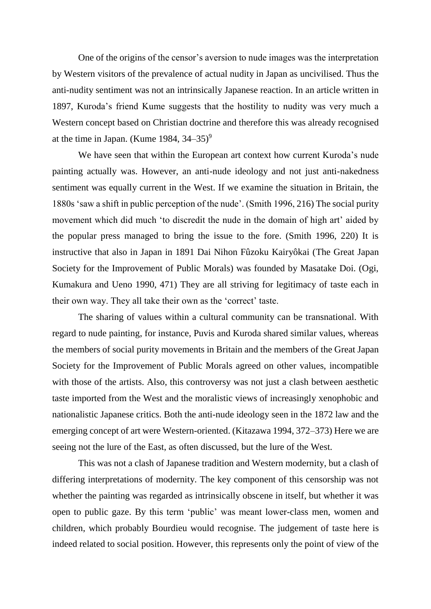One of the origins of the censor's aversion to nude images was the interpretation by Western visitors of the prevalence of actual nudity in Japan as uncivilised. Thus the anti-nudity sentiment was not an intrinsically Japanese reaction. In an article written in 1897, Kuroda's friend Kume suggests that the hostility to nudity was very much a Western concept based on Christian doctrine and therefore this was already recognised at the time in Japan. (Kume 1984,  $34-35$ )<sup>9</sup>

We have seen that within the European art context how current Kuroda's nude painting actually was. However, an anti-nude ideology and not just anti-nakedness sentiment was equally current in the West. If we examine the situation in Britain, the 1880s 'saw a shift in public perception of the nude'. (Smith 1996, 216) The social purity movement which did much 'to discredit the nude in the domain of high art' aided by the popular press managed to bring the issue to the fore. (Smith 1996, 220) It is instructive that also in Japan in 1891 Dai Nihon Fûzoku Kairyôkai (The Great Japan Society for the Improvement of Public Morals) was founded by Masatake Doi. (Ogi, Kumakura and Ueno 1990, 471) They are all striving for legitimacy of taste each in their own way. They all take their own as the 'correct' taste.

The sharing of values within a cultural community can be transnational. With regard to nude painting, for instance, Puvis and Kuroda shared similar values, whereas the members of social purity movements in Britain and the members of the Great Japan Society for the Improvement of Public Morals agreed on other values, incompatible with those of the artists. Also, this controversy was not just a clash between aesthetic taste imported from the West and the moralistic views of increasingly xenophobic and nationalistic Japanese critics. Both the anti-nude ideology seen in the 1872 law and the emerging concept of art were Western-oriented. (Kitazawa 1994, 372–373) Here we are seeing not the lure of the East, as often discussed, but the lure of the West.

This was not a clash of Japanese tradition and Western modernity, but a clash of differing interpretations of modernity. The key component of this censorship was not whether the painting was regarded as intrinsically obscene in itself, but whether it was open to public gaze. By this term 'public' was meant lower-class men, women and children, which probably Bourdieu would recognise. The judgement of taste here is indeed related to social position. However, this represents only the point of view of the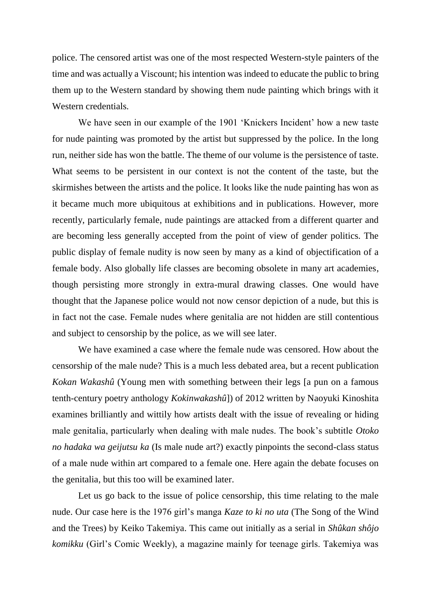police. The censored artist was one of the most respected Western-style painters of the time and was actually a Viscount; his intention was indeed to educate the public to bring them up to the Western standard by showing them nude painting which brings with it Western credentials.

We have seen in our example of the 1901 'Knickers Incident' how a new taste for nude painting was promoted by the artist but suppressed by the police. In the long run, neither side has won the battle. The theme of our volume is the persistence of taste. What seems to be persistent in our context is not the content of the taste, but the skirmishes between the artists and the police. It looks like the nude painting has won as it became much more ubiquitous at exhibitions and in publications. However, more recently, particularly female, nude paintings are attacked from a different quarter and are becoming less generally accepted from the point of view of gender politics. The public display of female nudity is now seen by many as a kind of objectification of a female body. Also globally life classes are becoming obsolete in many art academies, though persisting more strongly in extra-mural drawing classes. One would have thought that the Japanese police would not now censor depiction of a nude, but this is in fact not the case. Female nudes where genitalia are not hidden are still contentious and subject to censorship by the police, as we will see later.

We have examined a case where the female nude was censored. How about the censorship of the male nude? This is a much less debated area, but a recent publication *Kokan Wakashû* (Young men with something between their legs [a pun on a famous tenth-century poetry anthology *Kokinwakashû*]) of 2012 written by Naoyuki Kinoshita examines brilliantly and wittily how artists dealt with the issue of revealing or hiding male genitalia, particularly when dealing with male nudes. The book's subtitle *Otoko no hadaka wa geijutsu ka* (Is male nude art?) exactly pinpoints the second-class status of a male nude within art compared to a female one. Here again the debate focuses on the genitalia, but this too will be examined later.

Let us go back to the issue of police censorship, this time relating to the male nude. Our case here is the 1976 girl's manga *Kaze to ki no uta* (The Song of the Wind and the Trees) by Keiko Takemiya. This came out initially as a serial in *Shûkan shôjo komikku* (Girl's Comic Weekly), a magazine mainly for teenage girls. Takemiya was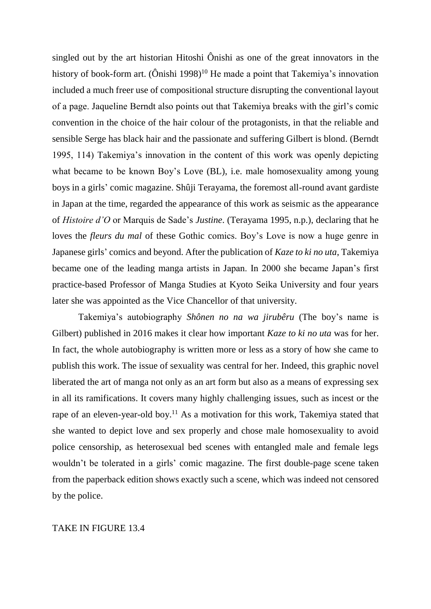singled out by the art historian Hitoshi Ônishi as one of the great innovators in the history of book-form art.  $(Ônishi 1998)<sup>10</sup>$  He made a point that Takemiya's innovation included a much freer use of compositional structure disrupting the conventional layout of a page. Jaqueline Berndt also points out that Takemiya breaks with the girl's comic convention in the choice of the hair colour of the protagonists, in that the reliable and sensible Serge has black hair and the passionate and suffering Gilbert is blond. (Berndt 1995, 114) Takemiya's innovation in the content of this work was openly depicting what became to be known Boy's Love (BL), i.e. male homosexuality among young boys in a girls' comic magazine. Shûji Terayama, the foremost all-round avant gardiste in Japan at the time, regarded the appearance of this work as seismic as the appearance of *Histoire d'O* or Marquis de Sade's *Justine*. (Terayama 1995, n.p.), declaring that he loves the *fleurs du mal* of these Gothic comics. Boy's Love is now a huge genre in Japanese girls' comics and beyond. After the publication of *Kaze to ki no uta*, Takemiya became one of the leading manga artists in Japan. In 2000 she became Japan's first practice-based Professor of Manga Studies at Kyoto Seika University and four years later she was appointed as the Vice Chancellor of that university.

Takemiya's autobiography *Shônen no na wa jirubêru* (The boy's name is Gilbert) published in 2016 makes it clear how important *Kaze to ki no uta* was for her. In fact, the whole autobiography is written more or less as a story of how she came to publish this work. The issue of sexuality was central for her. Indeed, this graphic novel liberated the art of manga not only as an art form but also as a means of expressing sex in all its ramifications. It covers many highly challenging issues, such as incest or the rape of an eleven-year-old boy.<sup>11</sup> As a motivation for this work, Takemiya stated that she wanted to depict love and sex properly and chose male homosexuality to avoid police censorship, as heterosexual bed scenes with entangled male and female legs wouldn't be tolerated in a girls' comic magazine. The first double-page scene taken from the paperback edition shows exactly such a scene, which was indeed not censored by the police.

### TAKE IN FIGURE 13.4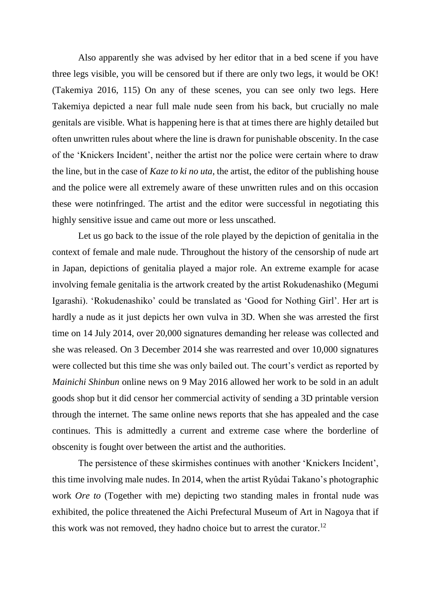Also apparently she was advised by her editor that in a bed scene if you have three legs visible, you will be censored but if there are only two legs, it would be OK! (Takemiya 2016, 115) On any of these scenes, you can see only two legs. Here Takemiya depicted a near full male nude seen from his back, but crucially no male genitals are visible. What is happening here is that at times there are highly detailed but often unwritten rules about where the line is drawn for punishable obscenity. In the case of the 'Knickers Incident', neither the artist nor the police were certain where to draw the line, but in the case of *Kaze to ki no uta*, the artist, the editor of the publishing house and the police were all extremely aware of these unwritten rules and on this occasion these were notinfringed. The artist and the editor were successful in negotiating this highly sensitive issue and came out more or less unscathed.

Let us go back to the issue of the role played by the depiction of genitalia in the context of female and male nude. Throughout the history of the censorship of nude art in Japan, depictions of genitalia played a major role. An extreme example for acase involving female genitalia is the artwork created by the artist Rokudenashiko (Megumi Igarashi). 'Rokudenashiko' could be translated as 'Good for Nothing Girl'. Her art is hardly a nude as it just depicts her own vulva in 3D. When she was arrested the first time on 14 July 2014, over 20,000 signatures demanding her release was collected and she was released. On 3 December 2014 she was rearrested and over 10,000 signatures were collected but this time she was only bailed out. The court's verdict as reported by *Mainichi Shinbun* online news on 9 May 2016 allowed her work to be sold in an adult goods shop but it did censor her commercial activity of sending a 3D printable version through the internet. The same online news reports that she has appealed and the case continues. This is admittedly a current and extreme case where the borderline of obscenity is fought over between the artist and the authorities.

The persistence of these skirmishes continues with another 'Knickers Incident', this time involving male nudes. In 2014, when the artist Ryûdai Takano's photographic work *Ore to* (Together with me) depicting two standing males in frontal nude was exhibited, the police threatened the Aichi Prefectural Museum of Art in Nagoya that if this work was not removed, they hadno choice but to arrest the curator.<sup>12</sup>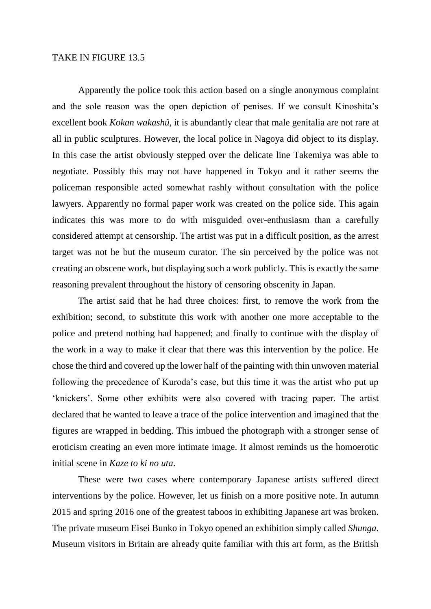Apparently the police took this action based on a single anonymous complaint and the sole reason was the open depiction of penises. If we consult Kinoshita's excellent book *Kokan wakashû*, it is abundantly clear that male genitalia are not rare at all in public sculptures. However, the local police in Nagoya did object to its display. In this case the artist obviously stepped over the delicate line Takemiya was able to negotiate. Possibly this may not have happened in Tokyo and it rather seems the policeman responsible acted somewhat rashly without consultation with the police lawyers. Apparently no formal paper work was created on the police side. This again indicates this was more to do with misguided over-enthusiasm than a carefully considered attempt at censorship. The artist was put in a difficult position, as the arrest target was not he but the museum curator. The sin perceived by the police was not creating an obscene work, but displaying such a work publicly. This is exactly the same reasoning prevalent throughout the history of censoring obscenity in Japan.

The artist said that he had three choices: first, to remove the work from the exhibition; second, to substitute this work with another one more acceptable to the police and pretend nothing had happened; and finally to continue with the display of the work in a way to make it clear that there was this intervention by the police. He chose the third and covered up the lower half of the painting with thin unwoven material following the precedence of Kuroda's case, but this time it was the artist who put up 'knickers'. Some other exhibits were also covered with tracing paper. The artist declared that he wanted to leave a trace of the police intervention and imagined that the figures are wrapped in bedding. This imbued the photograph with a stronger sense of eroticism creating an even more intimate image. It almost reminds us the homoerotic initial scene in *Kaze to ki no uta*.

These were two cases where contemporary Japanese artists suffered direct interventions by the police. However, let us finish on a more positive note. In autumn 2015 and spring 2016 one of the greatest taboos in exhibiting Japanese art was broken. The private museum Eisei Bunko in Tokyo opened an exhibition simply called *Shunga*. Museum visitors in Britain are already quite familiar with this art form, as the British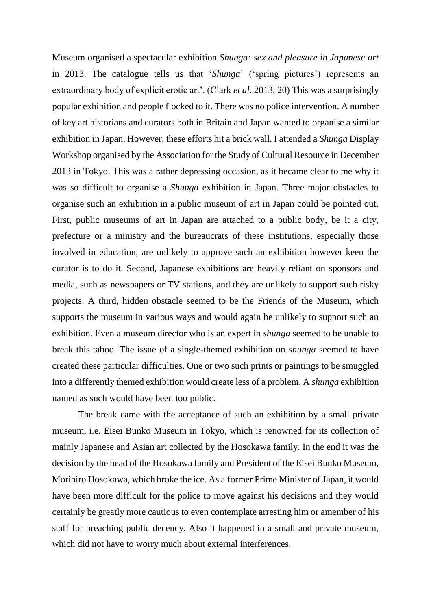Museum organised a spectacular exhibition *Shunga: sex and pleasure in Japanese art* in 2013. The catalogue tells us that '*Shunga*' ('spring pictures') represents an extraordinary body of explicit erotic art'. (Clark *et al*. 2013, 20) This was a surprisingly popular exhibition and people flocked to it. There was no police intervention. A number of key art historians and curators both in Britain and Japan wanted to organise a similar exhibition in Japan. However, these efforts hit a brick wall. I attended a *Shunga* Display Workshop organised by the Association for the Study of Cultural Resource in December 2013 in Tokyo. This was a rather depressing occasion, as it became clear to me why it was so difficult to organise a *Shunga* exhibition in Japan. Three major obstacles to organise such an exhibition in a public museum of art in Japan could be pointed out. First, public museums of art in Japan are attached to a public body, be it a city, prefecture or a ministry and the bureaucrats of these institutions, especially those involved in education, are unlikely to approve such an exhibition however keen the curator is to do it. Second, Japanese exhibitions are heavily reliant on sponsors and media, such as newspapers or TV stations, and they are unlikely to support such risky projects. A third, hidden obstacle seemed to be the Friends of the Museum, which supports the museum in various ways and would again be unlikely to support such an exhibition. Even a museum director who is an expert in *shunga* seemed to be unable to break this taboo. The issue of a single-themed exhibition on *shunga* seemed to have created these particular difficulties. One or two such prints or paintings to be smuggled into a differently themed exhibition would create less of a problem. A *shunga* exhibition named as such would have been too public.

The break came with the acceptance of such an exhibition by a small private museum, i.e. Eisei Bunko Museum in Tokyo, which is renowned for its collection of mainly Japanese and Asian art collected by the Hosokawa family. In the end it was the decision by the head of the Hosokawa family and President of the Eisei Bunko Museum, Morihiro Hosokawa, which broke the ice. As a former Prime Minister of Japan, it would have been more difficult for the police to move against his decisions and they would certainly be greatly more cautious to even contemplate arresting him or amember of his staff for breaching public decency. Also it happened in a small and private museum, which did not have to worry much about external interferences.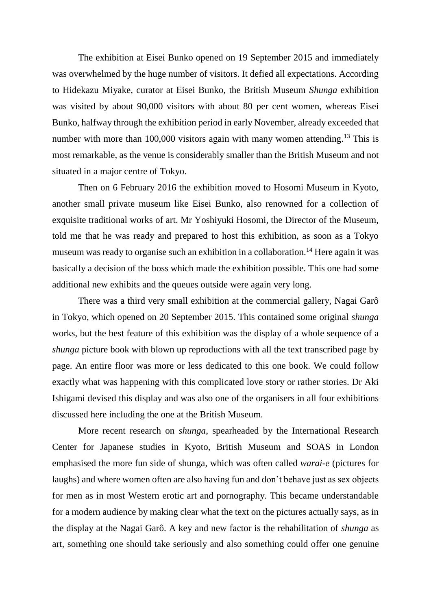The exhibition at Eisei Bunko opened on 19 September 2015 and immediately was overwhelmed by the huge number of visitors. It defied all expectations. According to Hidekazu Miyake, curator at Eisei Bunko, the British Museum *Shunga* exhibition was visited by about 90,000 visitors with about 80 per cent women, whereas Eisei Bunko, halfway through the exhibition period in early November, already exceeded that number with more than 100,000 visitors again with many women attending.<sup>13</sup> This is most remarkable, as the venue is considerably smaller than the British Museum and not situated in a major centre of Tokyo.

Then on 6 February 2016 the exhibition moved to Hosomi Museum in Kyoto, another small private museum like Eisei Bunko, also renowned for a collection of exquisite traditional works of art. Mr Yoshiyuki Hosomi, the Director of the Museum, told me that he was ready and prepared to host this exhibition, as soon as a Tokyo museum was ready to organise such an exhibition in a collaboration.<sup>14</sup> Here again it was basically a decision of the boss which made the exhibition possible. This one had some additional new exhibits and the queues outside were again very long.

There was a third very small exhibition at the commercial gallery, Nagai Garô in Tokyo, which opened on 20 September 2015. This contained some original *shunga* works, but the best feature of this exhibition was the display of a whole sequence of a *shunga* picture book with blown up reproductions with all the text transcribed page by page. An entire floor was more or less dedicated to this one book. We could follow exactly what was happening with this complicated love story or rather stories. Dr Aki Ishigami devised this display and was also one of the organisers in all four exhibitions discussed here including the one at the British Museum.

More recent research on *shunga*, spearheaded by the International Research Center for Japanese studies in Kyoto, British Museum and SOAS in London emphasised the more fun side of shunga, which was often called *warai-e* (pictures for laughs) and where women often are also having fun and don't behave just as sex objects for men as in most Western erotic art and pornography. This became understandable for a modern audience by making clear what the text on the pictures actually says, as in the display at the Nagai Garô. A key and new factor is the rehabilitation of *shunga* as art, something one should take seriously and also something could offer one genuine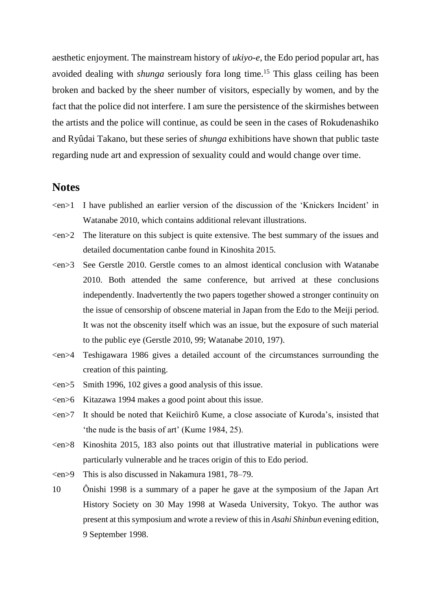aesthetic enjoyment. The mainstream history of *ukiyo-e*, the Edo period popular art, has avoided dealing with *shunga* seriously fora long time.<sup>15</sup> This glass ceiling has been broken and backed by the sheer number of visitors, especially by women, and by the fact that the police did not interfere. I am sure the persistence of the skirmishes between the artists and the police will continue, as could be seen in the cases of Rokudenashiko and Ryûdai Takano, but these series of *shunga* exhibitions have shown that public taste regarding nude art and expression of sexuality could and would change over time.

## **Notes**

- <en>1 I have published an earlier version of the discussion of the 'Knickers Incident' in Watanabe 2010, which contains additional relevant illustrations.
- $\epsilon$  The literature on this subject is quite extensive. The best summary of the issues and detailed documentation canbe found in Kinoshita 2015.
- $\langle en \rangle$  See Gerstle 2010. Gerstle comes to an almost identical conclusion with Watanabe 2010. Both attended the same conference, but arrived at these conclusions independently. Inadvertently the two papers together showed a stronger continuity on the issue of censorship of obscene material in Japan from the Edo to the Meiji period. It was not the obscenity itself which was an issue, but the exposure of such material to the public eye (Gerstle 2010, 99; Watanabe 2010, 197).
- <en>4 Teshigawara 1986 gives a detailed account of the circumstances surrounding the creation of this painting.
- $\langle en \rangle$  Smith 1996, 102 gives a good analysis of this issue.
- <en>6 Kitazawa 1994 makes a good point about this issue.
- <en>7 It should be noted that Keiichirô Kume, a close associate of Kuroda's, insisted that 'the nude is the basis of art' (Kume 1984, 25).
- <en>8 Kinoshita 2015, 183 also points out that illustrative material in publications were particularly vulnerable and he traces origin of this to Edo period.
- <en>9 This is also discussed in Nakamura 1981, 78–79.
- 10 Ônishi 1998 is a summary of a paper he gave at the symposium of the Japan Art History Society on 30 May 1998 at Waseda University, Tokyo. The author was present at this symposium and wrote a review of this in *Asahi Shinbun* evening edition, 9 September 1998.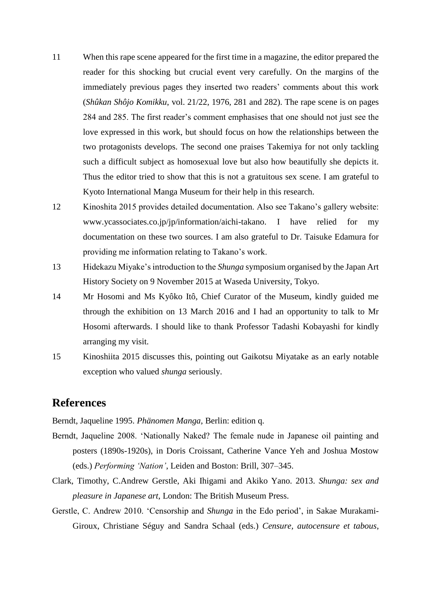- 11 When this rape scene appeared for the first time in a magazine, the editor prepared the reader for this shocking but crucial event very carefully. On the margins of the immediately previous pages they inserted two readers' comments about this work (*Shûkan Shôjo Komikku*, vol. 21/22, 1976, 281 and 282). The rape scene is on pages 284 and 285. The first reader's comment emphasises that one should not just see the love expressed in this work, but should focus on how the relationships between the two protagonists develops. The second one praises Takemiya for not only tackling such a difficult subject as homosexual love but also how beautifully she depicts it. Thus the editor tried to show that this is not a gratuitous sex scene. I am grateful to Kyoto International Manga Museum for their help in this research.
- 12 Kinoshita 2015 provides detailed documentation. Also see Takano's gallery website: www.ycassociates.co.jp/jp/information/aichi-takano. I have relied for my documentation on these two sources. I am also grateful to Dr. Taisuke Edamura for providing me information relating to Takano's work.
- 13 Hidekazu Miyake's introduction to the *Shunga* symposium organised by the Japan Art History Society on 9 November 2015 at Waseda University, Tokyo.
- 14 Mr Hosomi and Ms Kyôko Itô, Chief Curator of the Museum, kindly guided me through the exhibition on 13 March 2016 and I had an opportunity to talk to Mr Hosomi afterwards. I should like to thank Professor Tadashi Kobayashi for kindly arranging my visit.
- 15 Kinoshiita 2015 discusses this, pointing out Gaikotsu Miyatake as an early notable exception who valued *shunga* seriously.

# **References**

Berndt, Jaqueline 1995. *Phänomen Manga*, Berlin: edition q.

- Berndt, Jaqueline 2008. 'Nationally Naked? The female nude in Japanese oil painting and posters (1890s-1920s), in Doris Croissant, Catherine Vance Yeh and Joshua Mostow (eds.) *Performing 'Nation'*, Leiden and Boston: Brill, 307–345.
- Clark, Timothy, C.Andrew Gerstle, Aki Ihigami and Akiko Yano. 2013. *Shunga: sex and pleasure in Japanese art*, London: The British Museum Press.
- Gerstle, C. Andrew 2010. 'Censorship and *Shunga* in the Edo period', in Sakae Murakami-Giroux, Christiane Séguy and Sandra Schaal (eds.) *Censure, autocensure et tabous*,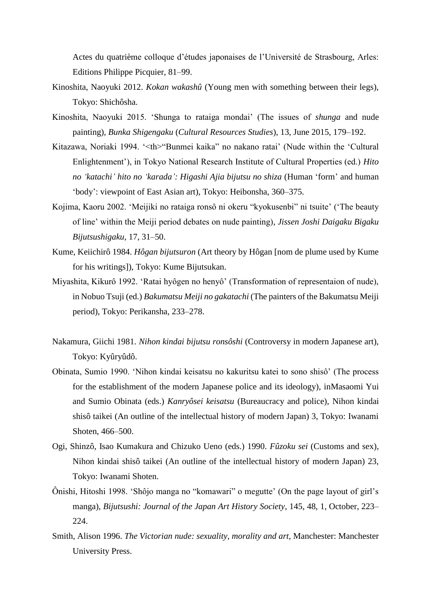Actes du quatrième colloque d'études japonaises de l'Université de Strasbourg, Arles: Editions Philippe Picquier, 81–99.

- Kinoshita, Naoyuki 2012. *Kokan wakashû* (Young men with something between their legs), Tokyo: Shichôsha.
- Kinoshita, Naoyuki 2015. 'Shunga to rataiga mondai' (The issues of *shunga* and nude painting), *Bunka Shigengaku* (*Cultural Resources Studies*), 13, June 2015, 179–192.
- Kitazawa, Noriaki 1994. '<th>"Bunmei kaika" no nakano ratai' (Nude within the 'Cultural Enlightenment'), in Tokyo National Research Institute of Cultural Properties (ed.) *Hito no 'katachi' hito no 'karada': Higashi Ajia bijutsu no shiza* (Human 'form' and human 'body': viewpoint of East Asian art), Tokyo: Heibonsha, 360–375.
- Kojima, Kaoru 2002. 'Meijiki no rataiga ronsô ni okeru "kyokusenbi" ni tsuite' ('The beauty of line' within the Meiji period debates on nude painting), *Jissen Joshi Daigaku Bigaku Bijutsushigaku*, 17, 31–50.
- Kume, Keiichirô 1984. *Hôgan bijutsuron* (Art theory by Hôgan [nom de plume used by Kume for his writings]), Tokyo: Kume Bijutsukan.
- Miyashita, Kikurô 1992. 'Ratai hyôgen no henyô' (Transformation of representaion of nude), in Nobuo Tsuji (ed.) *Bakumatsu Meiji no gakatachi* (The painters of the Bakumatsu Meiji period), Tokyo: Perikansha, 233–278.
- Nakamura, Giichi 1981. *Nihon kindai bijutsu ronsôshi* (Controversy in modern Japanese art), Tokyo: Kyûryûdô.
- Obinata, Sumio 1990. 'Nihon kindai keisatsu no kakuritsu katei to sono shisô' (The process for the establishment of the modern Japanese police and its ideology), inMasaomi Yui and Sumio Obinata (eds.) *Kanryôsei keisatsu* (Bureaucracy and police), Nihon kindai shisô taikei (An outline of the intellectual history of modern Japan) 3, Tokyo: Iwanami Shoten, 466–500.
- Ogi, Shinzô, Isao Kumakura and Chizuko Ueno (eds.) 1990. *Fûzoku sei* (Customs and sex), Nihon kindai shisô taikei (An outline of the intellectual history of modern Japan) 23, Tokyo: Iwanami Shoten.
- Ônishi, Hitoshi 1998. 'Shôjo manga no "komawari" o megutte' (On the page layout of girl's manga), *Bijutsushi: Journal of the Japan Art History Society*, 145, 48, 1, October, 223– 224.
- Smith, Alison 1996. *The Victorian nude: sexuality, morality and art*, Manchester: Manchester University Press.